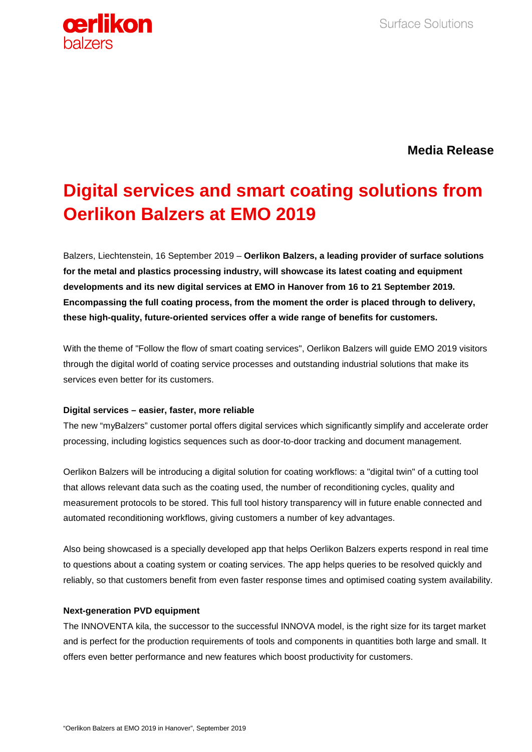

**Media Release**

# **Digital services and smart coating solutions from Oerlikon Balzers at EMO 2019**

Balzers, Liechtenstein, 16 September 2019 – **Oerlikon Balzers, a leading provider of surface solutions for the metal and plastics processing industry, will showcase its latest coating and equipment developments and its new digital services at EMO in Hanover from 16 to 21 September 2019. Encompassing the full coating process, from the moment the order is placed through to delivery, these high-quality, future-oriented services offer a wide range of benefits for customers.** 

With the theme of "Follow the flow of smart coating services", Oerlikon Balzers will guide EMO 2019 visitors through the digital world of coating service processes and outstanding industrial solutions that make its services even better for its customers.

## **Digital services – easier, faster, more reliable**

The new "myBalzers" customer portal offers digital services which significantly simplify and accelerate order processing, including logistics sequences such as door-to-door tracking and document management.

Oerlikon Balzers will be introducing a digital solution for coating workflows: a "digital twin" of a cutting tool that allows relevant data such as the coating used, the number of reconditioning cycles, quality and measurement protocols to be stored. This full tool history transparency will in future enable connected and automated reconditioning workflows, giving customers a number of key advantages.

Also being showcased is a specially developed app that helps Oerlikon Balzers experts respond in real time to questions about a coating system or coating services. The app helps queries to be resolved quickly and reliably, so that customers benefit from even faster response times and optimised coating system availability.

## **Next-generation PVD equipment**

The INNOVENTA kila, the successor to the successful INNOVA model, is the right size for its target market and is perfect for the production requirements of tools and components in quantities both large and small. It offers even better performance and new features which boost productivity for customers.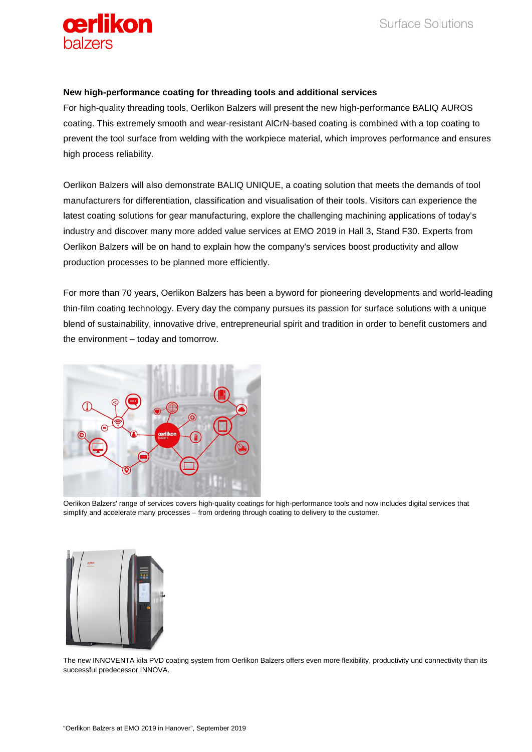

### **New high-performance coating for threading tools and additional services**

For high-quality threading tools, Oerlikon Balzers will present the new high-performance BALIQ AUROS coating. This extremely smooth and wear-resistant AlCrN-based coating is combined with a top coating to prevent the tool surface from welding with the workpiece material, which improves performance and ensures high process reliability.

Oerlikon Balzers will also demonstrate BALIQ UNIQUE, a coating solution that meets the demands of tool manufacturers for differentiation, classification and visualisation of their tools. Visitors can experience the latest coating solutions for gear manufacturing, explore the challenging machining applications of today's industry and discover many more added value services at EMO 2019 in Hall 3, Stand F30. Experts from Oerlikon Balzers will be on hand to explain how the company's services boost productivity and allow production processes to be planned more efficiently.

For more than 70 years, Oerlikon Balzers has been a byword for pioneering developments and world-leading thin-film coating technology. Every day the company pursues its passion for surface solutions with a unique blend of sustainability, innovative drive, entrepreneurial spirit and tradition in order to benefit customers and the environment – today and tomorrow.



Oerlikon Balzers' range of services covers high-quality coatings for high-performance tools and now includes digital services that simplify and accelerate many processes – from ordering through coating to delivery to the customer.



The new INNOVENTA kila PVD coating system from Oerlikon Balzers offers even more flexibility, productivity und connectivity than its successful predecessor INNOVA.